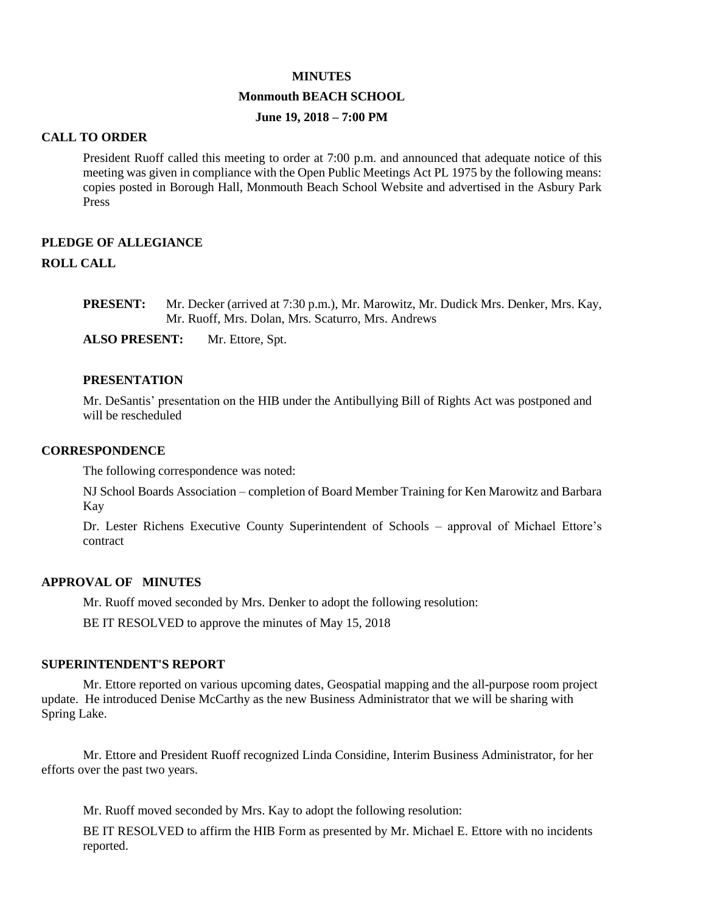#### **MINUTES**

### **Monmouth BEACH SCHOOL**

## **June 19, 2018 – 7:00 PM**

#### **CALL TO ORDER**

President Ruoff called this meeting to order at 7:00 p.m. and announced that adequate notice of this meeting was given in compliance with the Open Public Meetings Act PL 1975 by the following means: copies posted in Borough Hall, Monmouth Beach School Website and advertised in the Asbury Park Press

# **PLEDGE OF ALLEGIANCE ROLL CALL**

**PRESENT:** Mr. Decker (arrived at 7:30 p.m.), Mr. Marowitz, Mr. Dudick Mrs. Denker, Mrs. Kay, Mr. Ruoff, Mrs. Dolan, Mrs. Scaturro, Mrs. Andrews

**ALSO PRESENT:** Mr. Ettore, Spt.

### **PRESENTATION**

Mr. DeSantis' presentation on the HIB under the Antibullying Bill of Rights Act was postponed and will be rescheduled

#### **CORRESPONDENCE**

The following correspondence was noted:

NJ School Boards Association – completion of Board Member Training for Ken Marowitz and Barbara Kay

Dr. Lester Richens Executive County Superintendent of Schools – approval of Michael Ettore's contract

#### **APPROVAL OF MINUTES**

Mr. Ruoff moved seconded by Mrs. Denker to adopt the following resolution:

BE IT RESOLVED to approve the minutes of May 15, 2018

#### **SUPERINTENDENT'S REPORT**

Mr. Ettore reported on various upcoming dates, Geospatial mapping and the all-purpose room project update. He introduced Denise McCarthy as the new Business Administrator that we will be sharing with Spring Lake.

Mr. Ettore and President Ruoff recognized Linda Considine, Interim Business Administrator, for her efforts over the past two years.

Mr. Ruoff moved seconded by Mrs. Kay to adopt the following resolution:

BE IT RESOLVED to affirm the HIB Form as presented by Mr. Michael E. Ettore with no incidents reported.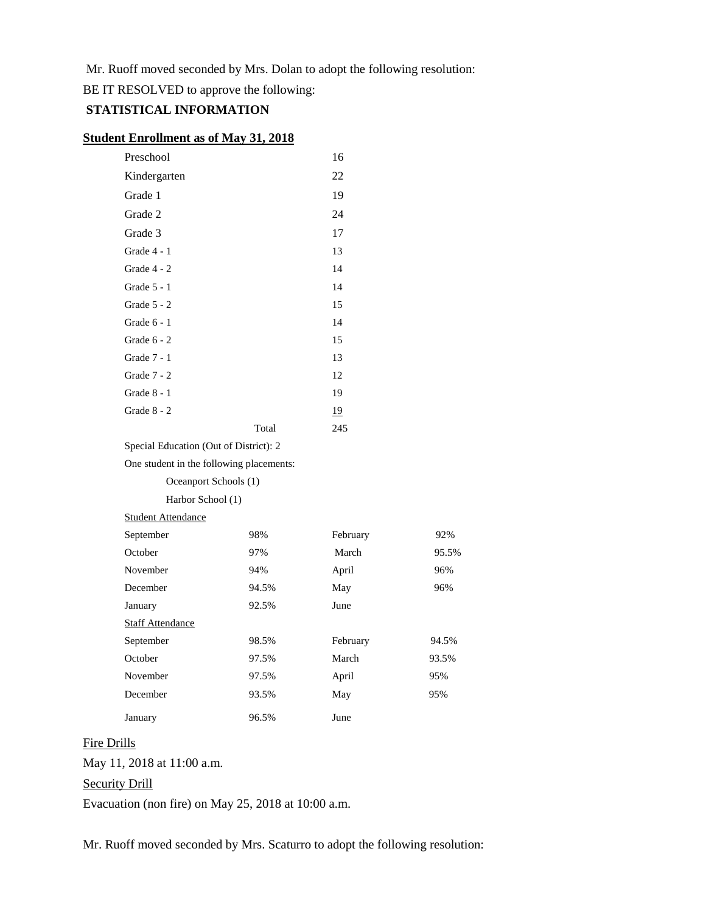Mr. Ruoff moved seconded by Mrs. Dolan to adopt the following resolution:

BE IT RESOLVED to approve the following:

# **STATISTICAL INFORMATION**

### **Student Enrollment as of May 31, 2018**

| Preschool                              |       | 16        |
|----------------------------------------|-------|-----------|
| Kindergarten                           |       | 22        |
| Grade 1                                |       | 19        |
| Grade 2                                |       | 24        |
| Grade 3                                |       | 17        |
| Grade 4 - 1                            |       | 13        |
| Grade $4 - 2$                          |       | 14        |
| Grade 5 - 1                            |       | 14        |
| Grade $5 - 2$                          |       | 15        |
| Grade $6 - 1$                          |       | 14        |
| Grade $6 - 2$                          |       | 15        |
| Grade 7 - 1                            |       | 13        |
| Grade 7 - 2                            |       | 12        |
| Grade $8 - 1$                          |       | 19        |
| Grade 8 - 2                            |       | <u>19</u> |
|                                        | Total | 245       |
| Special Education (Out of District): 2 |       |           |
|                                        |       |           |

| One student in the following placements: |       |          |       |
|------------------------------------------|-------|----------|-------|
| Oceanport Schools (1)                    |       |          |       |
| Harbor School (1)                        |       |          |       |
| <b>Student Attendance</b>                |       |          |       |
| September                                | 98%   | February | 92%   |
| October                                  | 97%   | March    | 95.5% |
| November                                 | 94%   | April    | 96%   |
| December                                 | 94.5% | May      | 96%   |
| January                                  | 92.5% | June     |       |
| <b>Staff Attendance</b>                  |       |          |       |
| September                                | 98.5% | February | 94.5% |
| October                                  | 97.5% | March    | 93.5% |
| November                                 | 97.5% | April    | 95%   |
| December                                 | 93.5% | May      | 95%   |
| January                                  | 96.5% | June     |       |

# Fire Drills

May 11, 2018 at 11:00 a.m.

# Security Drill

Evacuation (non fire) on May 25, 2018 at 10:00 a.m.

Mr. Ruoff moved seconded by Mrs. Scaturro to adopt the following resolution: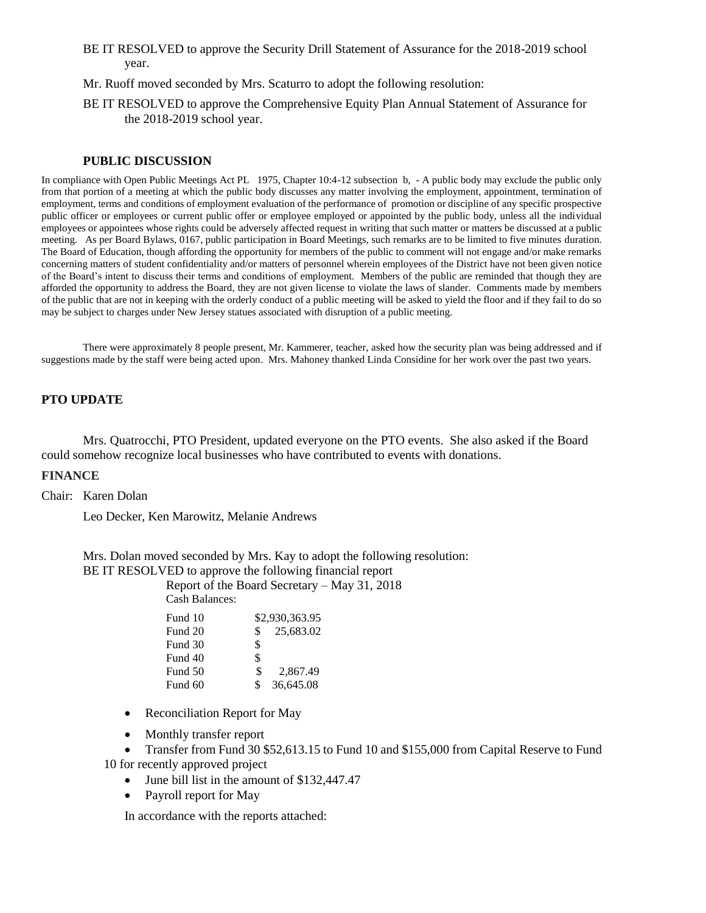- BE IT RESOLVED to approve the Security Drill Statement of Assurance for the 2018-2019 school year.
- Mr. Ruoff moved seconded by Mrs. Scaturro to adopt the following resolution:
- BE IT RESOLVED to approve the Comprehensive Equity Plan Annual Statement of Assurance for the 2018-2019 school year.

#### **PUBLIC DISCUSSION**

In compliance with Open Public Meetings Act PL 1975, Chapter 10:4-12 subsection b, - A public body may exclude the public only from that portion of a meeting at which the public body discusses any matter involving the employment, appointment, termination of employment, terms and conditions of employment evaluation of the performance of promotion or discipline of any specific prospective public officer or employees or current public offer or employee employed or appointed by the public body, unless all the individual employees or appointees whose rights could be adversely affected request in writing that such matter or matters be discussed at a public meeting. As per Board Bylaws, 0167, public participation in Board Meetings, such remarks are to be limited to five minutes duration. The Board of Education, though affording the opportunity for members of the public to comment will not engage and/or make remarks concerning matters of student confidentiality and/or matters of personnel wherein employees of the District have not been given notice of the Board's intent to discuss their terms and conditions of employment. Members of the public are reminded that though they are afforded the opportunity to address the Board, they are not given license to violate the laws of slander. Comments made by members of the public that are not in keeping with the orderly conduct of a public meeting will be asked to yield the floor and if they fail to do so may be subject to charges under New Jersey statues associated with disruption of a public meeting.

There were approximately 8 people present, Mr. Kammerer, teacher, asked how the security plan was being addressed and if suggestions made by the staff were being acted upon. Mrs. Mahoney thanked Linda Considine for her work over the past two years.

# **PTO UPDATE**

Mrs. Quatrocchi, PTO President, updated everyone on the PTO events. She also asked if the Board could somehow recognize local businesses who have contributed to events with donations.

## **FINANCE**

Chair: Karen Dolan

Leo Decker, Ken Marowitz, Melanie Andrews

Mrs. Dolan moved seconded by Mrs. Kay to adopt the following resolution:

BE IT RESOLVED to approve the following financial report

Report of the Board Secretary – May 31, 2018 Cash Balances:

| Fund 10 |     | \$2,930,363.95 |
|---------|-----|----------------|
| Fund 20 | \$. | 25,683.02      |
| Fund 30 | \$  |                |
| Fund 40 | \$  |                |
| Fund 50 | \$  | 2,867.49       |
| Fund 60 | \$  | 36,645.08      |
|         |     |                |

- Reconciliation Report for May
- Monthly transfer report

 Transfer from Fund 30 \$52,613.15 to Fund 10 and \$155,000 from Capital Reserve to Fund 10 for recently approved project

- June bill list in the amount of \$132,447.47
- Payroll report for May

In accordance with the reports attached: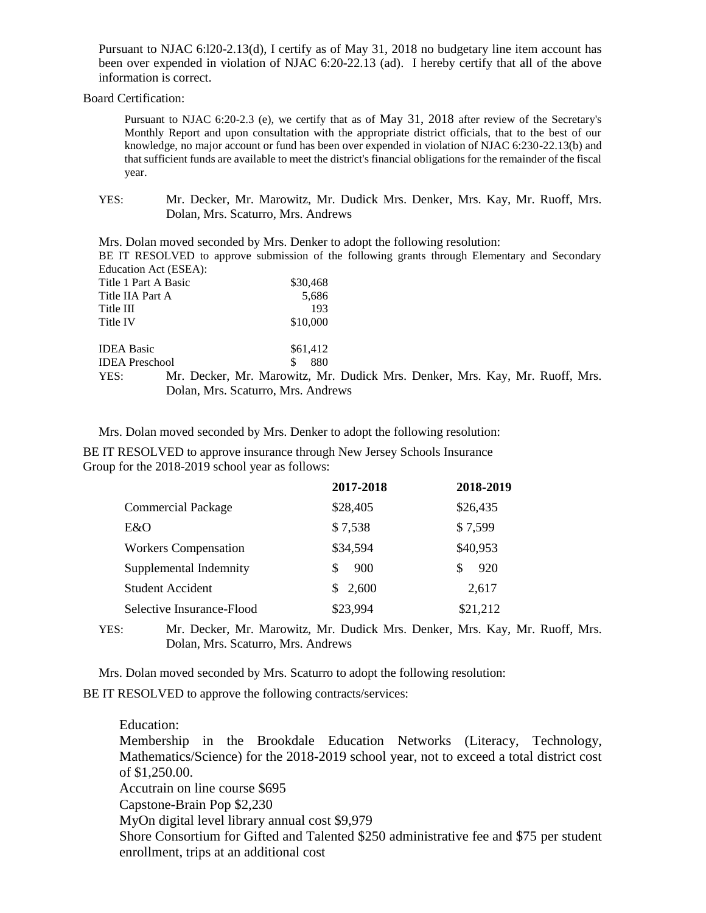Pursuant to NJAC 6:l20-2.13(d), I certify as of May 31, 2018 no budgetary line item account has been over expended in violation of NJAC 6:20-22.13 (ad). I hereby certify that all of the above information is correct.

Board Certification:

Pursuant to NJAC 6:20-2.3 (e), we certify that as of May 31, 2018 after review of the Secretary's Monthly Report and upon consultation with the appropriate district officials, that to the best of our knowledge, no major account or fund has been over expended in violation of NJAC 6:230-22.13(b) and that sufficient funds are available to meet the district's financial obligations for the remainder of the fiscal year.

YES: Mr. Decker, Mr. Marowitz, Mr. Dudick Mrs. Denker, Mrs. Kay, Mr. Ruoff, Mrs. Dolan, Mrs. Scaturro, Mrs. Andrews

Mrs. Dolan moved seconded by Mrs. Denker to adopt the following resolution: BE IT RESOLVED to approve submission of the following grants through Elementary and Secondary Education Act (ESEA): Title 1 Part A Basic \$30,468 Title IIA Part A 5,686 Title III 193 Title IV \$10,000 IDEA Basic \$61,412 IDEA Preschool \$ 880 YES: Mr. Decker, Mr. Marowitz, Mr. Dudick Mrs. Denker, Mrs. Kay, Mr. Ruoff, Mrs. Dolan, Mrs. Scaturro, Mrs. Andrews

Mrs. Dolan moved seconded by Mrs. Denker to adopt the following resolution:

BE IT RESOLVED to approve insurance through New Jersey Schools Insurance Group for the 2018-2019 school year as follows:

|                             | 2017-2018 | 2018-2019 |
|-----------------------------|-----------|-----------|
| <b>Commercial Package</b>   | \$28,405  | \$26,435  |
| E&O                         | \$7,538   | \$7,599   |
| <b>Workers Compensation</b> | \$34,594  | \$40,953  |
| Supplemental Indemnity      | 900       | 920<br>S  |
| <b>Student Accident</b>     | \$2,600   | 2,617     |
| Selective Insurance-Flood   | \$23,994  | \$21,212  |

YES: Mr. Decker, Mr. Marowitz, Mr. Dudick Mrs. Denker, Mrs. Kay, Mr. Ruoff, Mrs. Dolan, Mrs. Scaturro, Mrs. Andrews

Mrs. Dolan moved seconded by Mrs. Scaturro to adopt the following resolution:

BE IT RESOLVED to approve the following contracts/services:

Education: Membership in the Brookdale Education Networks (Literacy, Technology, Mathematics/Science) for the 2018-2019 school year, not to exceed a total district cost of \$1,250.00. Accutrain on line course \$695 Capstone-Brain Pop \$2,230 MyOn digital level library annual cost \$9,979 Shore Consortium for Gifted and Talented \$250 administrative fee and \$75 per student enrollment, trips at an additional cost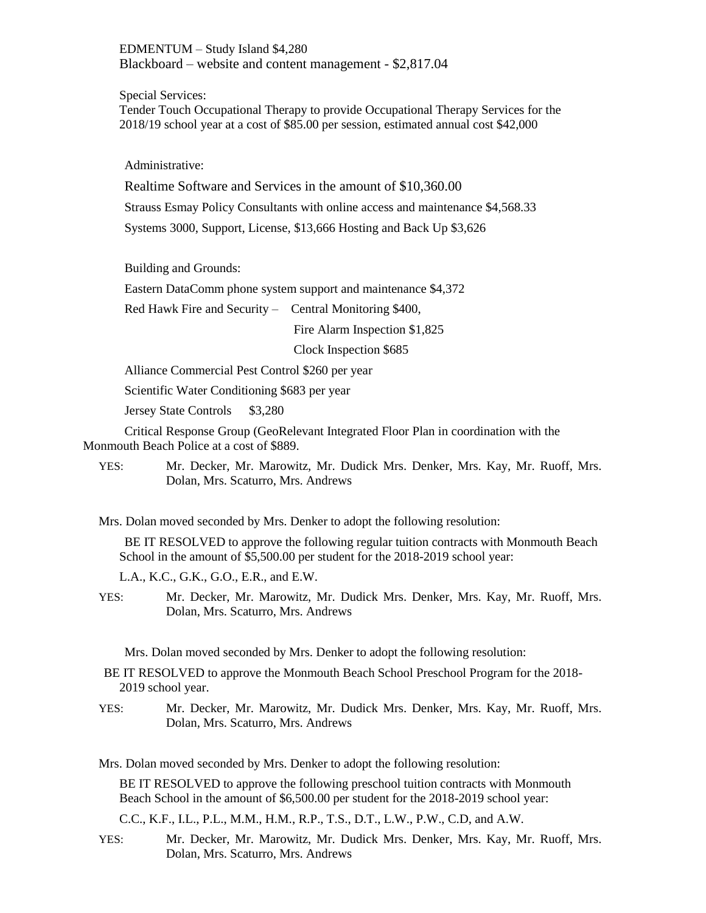EDMENTUM – Study Island \$4,280 Blackboard – website and content management - \$2,817.04

Special Services:

Tender Touch Occupational Therapy to provide Occupational Therapy Services for the 2018/19 school year at a cost of \$85.00 per session, estimated annual cost \$42,000

Administrative:

Realtime Software and Services in the amount of \$10,360.00 Strauss Esmay Policy Consultants with online access and maintenance \$4,568.33 Systems 3000, Support, License, \$13,666 Hosting and Back Up \$3,626

Building and Grounds:

Eastern DataComm phone system support and maintenance \$4,372

Red Hawk Fire and Security – Central Monitoring \$400,

Fire Alarm Inspection \$1,825

Clock Inspection \$685

Alliance Commercial Pest Control \$260 per year

Scientific Water Conditioning \$683 per year

Jersey State Controls \$3,280

Critical Response Group (GeoRelevant Integrated Floor Plan in coordination with the Monmouth Beach Police at a cost of \$889.

YES: Mr. Decker, Mr. Marowitz, Mr. Dudick Mrs. Denker, Mrs. Kay, Mr. Ruoff, Mrs. Dolan, Mrs. Scaturro, Mrs. Andrews

Mrs. Dolan moved seconded by Mrs. Denker to adopt the following resolution:

BE IT RESOLVED to approve the following regular tuition contracts with Monmouth Beach School in the amount of \$5,500.00 per student for the 2018-2019 school year:

L.A., K.C., G.K., G.O., E.R., and E.W.

YES: Mr. Decker, Mr. Marowitz, Mr. Dudick Mrs. Denker, Mrs. Kay, Mr. Ruoff, Mrs. Dolan, Mrs. Scaturro, Mrs. Andrews

Mrs. Dolan moved seconded by Mrs. Denker to adopt the following resolution:

- BE IT RESOLVED to approve the Monmouth Beach School Preschool Program for the 2018- 2019 school year.
- YES: Mr. Decker, Mr. Marowitz, Mr. Dudick Mrs. Denker, Mrs. Kay, Mr. Ruoff, Mrs. Dolan, Mrs. Scaturro, Mrs. Andrews

Mrs. Dolan moved seconded by Mrs. Denker to adopt the following resolution:

BE IT RESOLVED to approve the following preschool tuition contracts with Monmouth Beach School in the amount of \$6,500.00 per student for the 2018-2019 school year:

C.C., K.F., I.L., P.L., M.M., H.M., R.P., T.S., D.T., L.W., P.W., C.D, and A.W.

YES: Mr. Decker, Mr. Marowitz, Mr. Dudick Mrs. Denker, Mrs. Kay, Mr. Ruoff, Mrs. Dolan, Mrs. Scaturro, Mrs. Andrews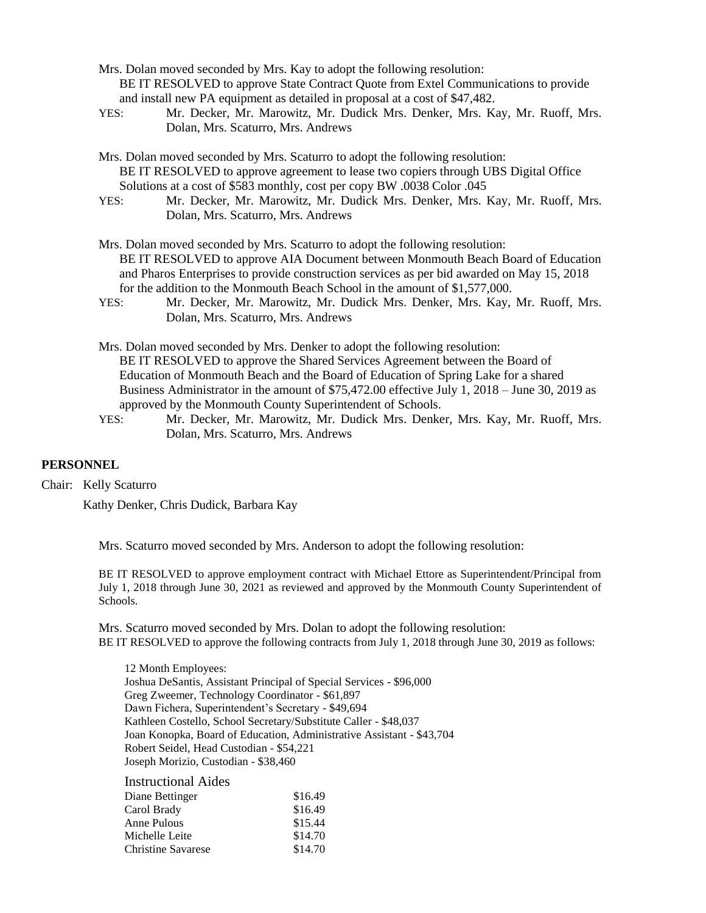- Mrs. Dolan moved seconded by Mrs. Kay to adopt the following resolution: BE IT RESOLVED to approve State Contract Quote from Extel Communications to provide and install new PA equipment as detailed in proposal at a cost of \$47,482.
- YES: Mr. Decker, Mr. Marowitz, Mr. Dudick Mrs. Denker, Mrs. Kay, Mr. Ruoff, Mrs. Dolan, Mrs. Scaturro, Mrs. Andrews
- Mrs. Dolan moved seconded by Mrs. Scaturro to adopt the following resolution: BE IT RESOLVED to approve agreement to lease two copiers through UBS Digital Office Solutions at a cost of \$583 monthly, cost per copy BW .0038 Color .045
- YES: Mr. Decker, Mr. Marowitz, Mr. Dudick Mrs. Denker, Mrs. Kay, Mr. Ruoff, Mrs. Dolan, Mrs. Scaturro, Mrs. Andrews
- Mrs. Dolan moved seconded by Mrs. Scaturro to adopt the following resolution: BE IT RESOLVED to approve AIA Document between Monmouth Beach Board of Education and Pharos Enterprises to provide construction services as per bid awarded on May 15, 2018 for the addition to the Monmouth Beach School in the amount of \$1,577,000.
- YES: Mr. Decker, Mr. Marowitz, Mr. Dudick Mrs. Denker, Mrs. Kay, Mr. Ruoff, Mrs. Dolan, Mrs. Scaturro, Mrs. Andrews
- Mrs. Dolan moved seconded by Mrs. Denker to adopt the following resolution: BE IT RESOLVED to approve the Shared Services Agreement between the Board of Education of Monmouth Beach and the Board of Education of Spring Lake for a shared Business Administrator in the amount of \$75,472.00 effective July 1, 2018 – June 30, 2019 as approved by the Monmouth County Superintendent of Schools.
- YES: Mr. Decker, Mr. Marowitz, Mr. Dudick Mrs. Denker, Mrs. Kay, Mr. Ruoff, Mrs. Dolan, Mrs. Scaturro, Mrs. Andrews

### **PERSONNEL**

Chair: Kelly Scaturro

Kathy Denker, Chris Dudick, Barbara Kay

Mrs. Scaturro moved seconded by Mrs. Anderson to adopt the following resolution:

BE IT RESOLVED to approve employment contract with Michael Ettore as Superintendent/Principal from July 1, 2018 through June 30, 2021 as reviewed and approved by the Monmouth County Superintendent of Schools.

Mrs. Scaturro moved seconded by Mrs. Dolan to adopt the following resolution: BE IT RESOLVED to approve the following contracts from July 1, 2018 through June 30, 2019 as follows:

12 Month Employees: Joshua DeSantis, Assistant Principal of Special Services - \$96,000 Greg Zweemer, Technology Coordinator - \$61,897 Dawn Fichera, Superintendent's Secretary - \$49,694 Kathleen Costello, School Secretary/Substitute Caller - \$48,037 Joan Konopka, Board of Education, Administrative Assistant - \$43,704 Robert Seidel, Head Custodian - \$54,221 Joseph Morizio, Custodian - \$38,460

| \$16.49 |
|---------|
| \$16.49 |
| \$15.44 |
| \$14.70 |
| \$14.70 |
|         |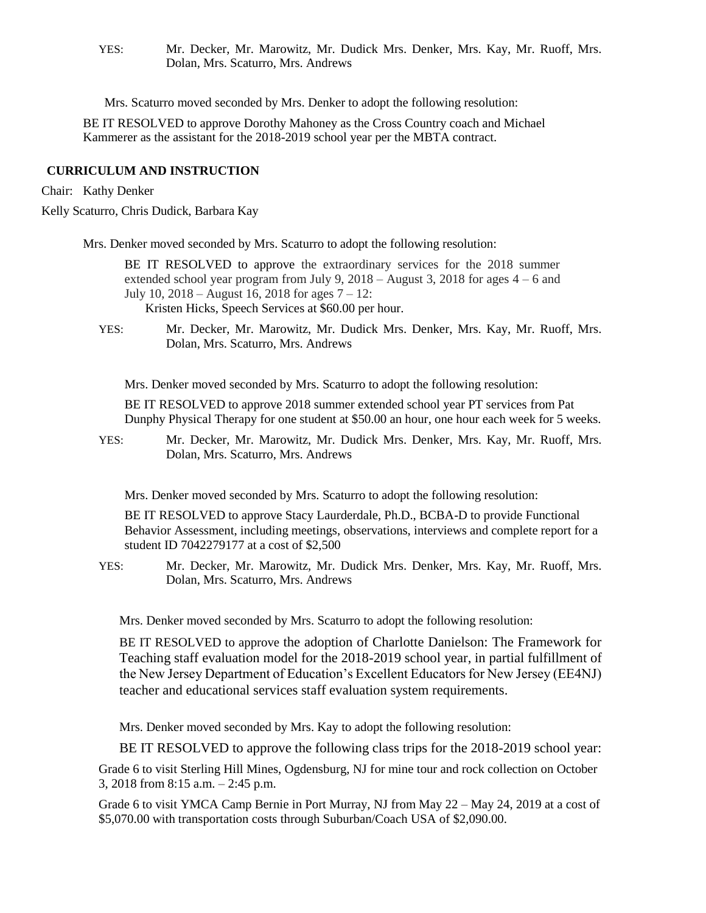YES: Mr. Decker, Mr. Marowitz, Mr. Dudick Mrs. Denker, Mrs. Kay, Mr. Ruoff, Mrs. Dolan, Mrs. Scaturro, Mrs. Andrews

Mrs. Scaturro moved seconded by Mrs. Denker to adopt the following resolution:

BE IT RESOLVED to approve Dorothy Mahoney as the Cross Country coach and Michael Kammerer as the assistant for the 2018-2019 school year per the MBTA contract.

# **CURRICULUM AND INSTRUCTION**

Chair: Kathy Denker

Kelly Scaturro, Chris Dudick, Barbara Kay

Mrs. Denker moved seconded by Mrs. Scaturro to adopt the following resolution:

BE IT RESOLVED to approve the extraordinary services for the 2018 summer extended school year program from July 9,  $2018 -$ August 3,  $2018$  for ages  $4 - 6$  and July 10,  $2018 -$ August 16, 2018 for ages  $7 - 12$ : Kristen Hicks, Speech Services at \$60.00 per hour.

YES: Mr. Decker, Mr. Marowitz, Mr. Dudick Mrs. Denker, Mrs. Kay, Mr. Ruoff, Mrs. Dolan, Mrs. Scaturro, Mrs. Andrews

Mrs. Denker moved seconded by Mrs. Scaturro to adopt the following resolution:

BE IT RESOLVED to approve 2018 summer extended school year PT services from Pat Dunphy Physical Therapy for one student at \$50.00 an hour, one hour each week for 5 weeks.

YES: Mr. Decker, Mr. Marowitz, Mr. Dudick Mrs. Denker, Mrs. Kay, Mr. Ruoff, Mrs. Dolan, Mrs. Scaturro, Mrs. Andrews

Mrs. Denker moved seconded by Mrs. Scaturro to adopt the following resolution:

BE IT RESOLVED to approve Stacy Laurderdale, Ph.D., BCBA-D to provide Functional Behavior Assessment, including meetings, observations, interviews and complete report for a student ID 7042279177 at a cost of \$2,500

YES: Mr. Decker, Mr. Marowitz, Mr. Dudick Mrs. Denker, Mrs. Kay, Mr. Ruoff, Mrs. Dolan, Mrs. Scaturro, Mrs. Andrews

Mrs. Denker moved seconded by Mrs. Scaturro to adopt the following resolution:

BE IT RESOLVED to approve the adoption of Charlotte Danielson: The Framework for Teaching staff evaluation model for the 2018-2019 school year, in partial fulfillment of the New Jersey Department of Education's Excellent Educators for New Jersey (EE4NJ) teacher and educational services staff evaluation system requirements.

Mrs. Denker moved seconded by Mrs. Kay to adopt the following resolution:

BE IT RESOLVED to approve the following class trips for the 2018-2019 school year:

Grade 6 to visit Sterling Hill Mines, Ogdensburg, NJ for mine tour and rock collection on October 3, 2018 from 8:15 a.m. – 2:45 p.m.

Grade 6 to visit YMCA Camp Bernie in Port Murray, NJ from May 22 – May 24, 2019 at a cost of \$5,070.00 with transportation costs through Suburban/Coach USA of \$2,090.00.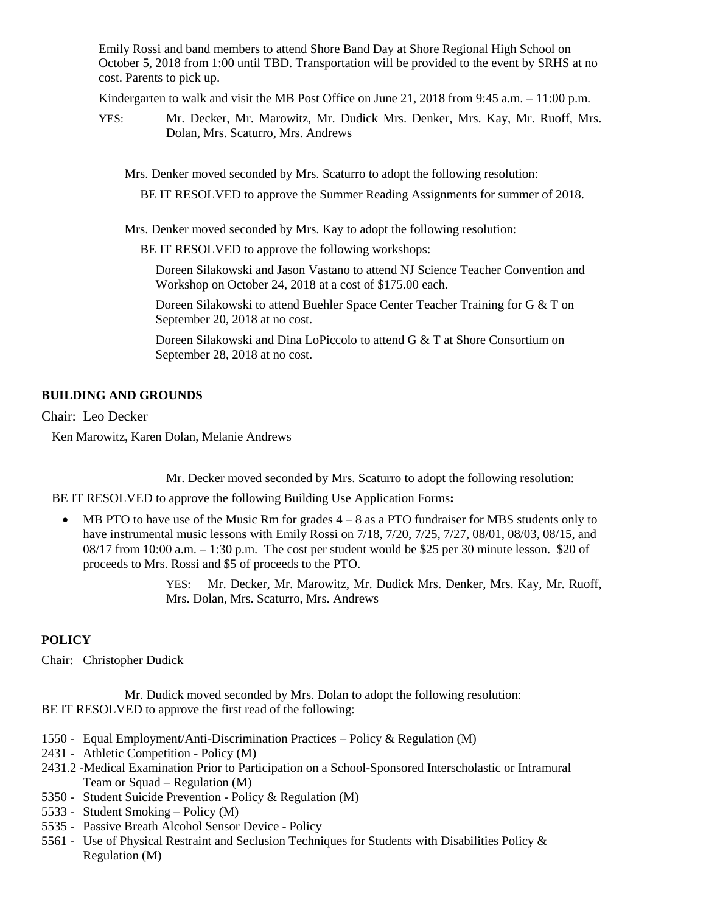Emily Rossi and band members to attend Shore Band Day at Shore Regional High School on October 5, 2018 from 1:00 until TBD. Transportation will be provided to the event by SRHS at no cost. Parents to pick up.

Kindergarten to walk and visit the MB Post Office on June 21, 2018 from 9:45 a.m.  $-11:00$  p.m.

YES: Mr. Decker, Mr. Marowitz, Mr. Dudick Mrs. Denker, Mrs. Kay, Mr. Ruoff, Mrs. Dolan, Mrs. Scaturro, Mrs. Andrews

Mrs. Denker moved seconded by Mrs. Scaturro to adopt the following resolution:

BE IT RESOLVED to approve the Summer Reading Assignments for summer of 2018.

Mrs. Denker moved seconded by Mrs. Kay to adopt the following resolution:

BE IT RESOLVED to approve the following workshops:

Doreen Silakowski and Jason Vastano to attend NJ Science Teacher Convention and Workshop on October 24, 2018 at a cost of \$175.00 each.

Doreen Silakowski to attend Buehler Space Center Teacher Training for G & T on September 20, 2018 at no cost.

Doreen Silakowski and Dina LoPiccolo to attend G & T at Shore Consortium on September 28, 2018 at no cost.

# **BUILDING AND GROUNDS**

Chair: Leo Decker

Ken Marowitz, Karen Dolan, Melanie Andrews

Mr. Decker moved seconded by Mrs. Scaturro to adopt the following resolution:

BE IT RESOLVED to approve the following Building Use Application Forms**:** 

 MB PTO to have use of the Music Rm for grades 4 – 8 as a PTO fundraiser for MBS students only to have instrumental music lessons with Emily Rossi on 7/18, 7/20, 7/25, 7/27, 08/01, 08/03, 08/15, and  $08/17$  from  $10:00$  a.m.  $-1:30$  p.m. The cost per student would be \$25 per 30 minute lesson. \$20 of proceeds to Mrs. Rossi and \$5 of proceeds to the PTO.

> YES: Mr. Decker, Mr. Marowitz, Mr. Dudick Mrs. Denker, Mrs. Kay, Mr. Ruoff, Mrs. Dolan, Mrs. Scaturro, Mrs. Andrews

# **POLICY**

Chair: Christopher Dudick

Mr. Dudick moved seconded by Mrs. Dolan to adopt the following resolution: BE IT RESOLVED to approve the first read of the following:

- 1550 Equal Employment/Anti-Discrimination Practices Policy & Regulation (M)
- 2431 Athletic Competition Policy (M)
- 2431.2 -Medical Examination Prior to Participation on a School-Sponsored Interscholastic or Intramural Team or Squad – Regulation (M)
- 5350 Student Suicide Prevention Policy & Regulation (M)
- 5533 Student Smoking Policy (M)
- 5535 Passive Breath Alcohol Sensor Device Policy
- 5561 Use of Physical Restraint and Seclusion Techniques for Students with Disabilities Policy & Regulation (M)